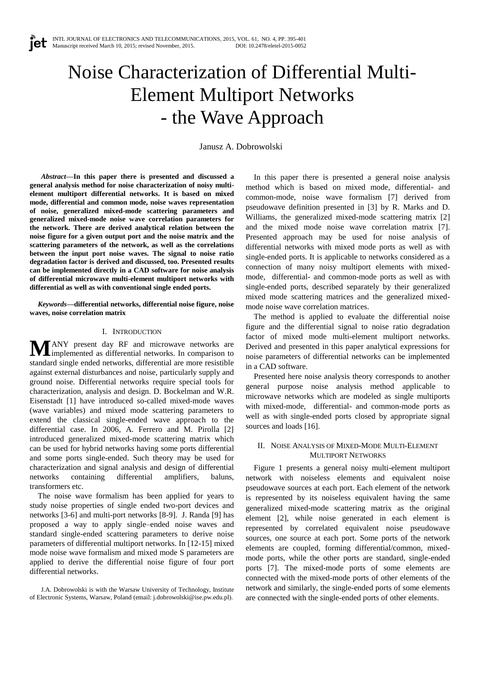# Noise Characterization of Differential Multi-Element Multiport Networks - the Wave Approach

Janusz A. Dobrowolski

*Abstract***—In this paper there is presented and discussed a general analysis method for noise characterization of noisy multielement multiport differential networks. It is based on mixed mode, differential and common mode, noise waves representation of noise, generalized mixed-mode scattering parameters and generalized mixed-mode noise wave correlation parameters for the network. There are derived analytical relation between the noise figure for a given output port and the noise matrix and the scattering parameters of the network, as well as the correlations between the input port noise waves. The signal to noise ratio degradation factor is derived and discussed, too. Presented results can be implemented directly in a CAD software for noise analysis of differential microwave multi-element multiport networks with differential as well as with conventional single ended ports.**

*Keywords***—differential networks, differential noise figure, noise waves, noise correlation matrix**

## I. INTRODUCTION

ANY present day RF and microwave networks are **MANY** present day RF and microwave networks are implemented as differential networks. In comparison to standard single ended networks, differential are more resistible against external disturbances and noise, particularly supply and ground noise. Differential networks require special tools for characterization, analysis and design. D. Bockelman and W.R. Eisenstadt [1] have introduced so-called mixed-mode waves (wave variables) and mixed mode scattering parameters to extend the classical single-ended wave approach to the differential case. In 2006, A. Ferrero and M. Pirolla [2] introduced generalized mixed-mode scattering matrix which can be used for hybrid networks having some ports differential and some ports single-ended. Such theory may be used for characterization and signal analysis and design of differential networks containing differential amplifiers, baluns, transformers etc.

The noise wave formalism has been applied for years to study noise properties of single ended two-port devices and networks [3-6] and multi-port networks [8-9]. J. Randa [9] has proposed a way to apply single–ended noise waves and standard single-ended scattering parameters to derive noise parameters of differential multiport networks. In [12-15] mixed mode noise wave formalism and mixed mode S parameters are applied to derive the differential noise figure of four port differential networks.

J.A. Dobrowolski is with the Warsaw University of Technology, Institute of Electronic Systems, Warsaw, Poland (email: j.dobrowolski@ise.pw.edu.pl).

In this paper there is presented a general noise analysis method which is based on mixed mode, differential- and common-mode, noise wave formalism [7] derived from pseudowave definition presented in [3] by R. Marks and D. Williams, the generalized mixed-mode scattering matrix [2] and the mixed mode noise wave correlation matrix [7]. Presented approach may be used for noise analysis of differential networks with mixed mode ports as well as with single-ended ports. It is applicable to networks considered as a connection of many noisy multiport elements with mixedmode, differential- and common-mode ports as well as with single-ended ports, described separately by their generalized mixed mode scattering matrices and the generalized mixedmode noise wave correlation matrices.

The method is applied to evaluate the differential noise figure and the differential signal to noise ratio degradation factor of mixed mode multi-element multiport networks. Derived and presented in this paper analytical expressions for noise parameters of differential networks can be implemented in a CAD software.

Presented here noise analysis theory corresponds to another general purpose noise analysis method applicable to microwave networks which are modeled as single multiports with mixed-mode, differential- and common-mode ports as well as with single-ended ports closed by appropriate signal sources and loads [16].

### II. NOISE ANALYSIS OF MIXED-MODE MULTI-ELEMENT MULTIPORT NETWORKS

Figure 1 presents a general noisy multi-element multiport network with noiseless elements and equivalent noise pseudowave sources at each port. Each element of the network is represented by its noiseless equivalent having the same generalized mixed-mode scattering matrix as the original element [2], while noise generated in each element is represented by correlated equivalent noise pseudowave sources, one source at each port. Some ports of the network elements are coupled, forming differential/common, mixedmode ports, while the other ports are standard, single-ended ports [7]. The mixed-mode ports of some elements are connected with the mixed-mode ports of other elements of the network and similarly, the single-ended ports of some elements are connected with the single-ended ports of other elements.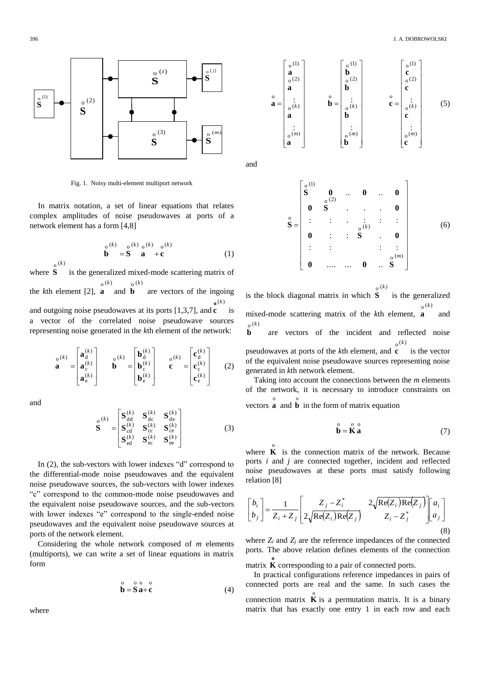

Fig. 1. Noisy multi-element multiport network

In matrix notation, a set of linear equations that relates complex amplitudes of noise pseudowaves at ports of a network element has a form [4,8]

$$
\mathbf{b}^{\text{o}(k)} = \mathbf{S}^{\text{o}(k)} \mathbf{a}^{\text{o}(k)} + \mathbf{c} \tag{1}
$$

where **S**  $^{o(k)}$ is the generalized mixed-mode scattering matrix of the  $k$ <sup>th</sup> element [2], **a** and **b**  $^{0}(k)$  $^{o(k)}$ are vectors of the ingoing

and outgoing noise pseudowaves at its ports [1,3,7], and **c** is  $\mathbf{o}^{(k)}$ a vector of the correlated noise pseudowave sources representing noise generated in the *k*th element of the network:

$$
\mathbf{a}^{o(k)} = \begin{bmatrix} \mathbf{a}_d^{(k)} \\ \mathbf{a}_e^{(k)} \\ \mathbf{a}_e^{(k)} \end{bmatrix} \qquad \mathbf{b}^{o(k)} = \begin{bmatrix} \mathbf{b}_d^{(k)} \\ \mathbf{b}_e^{(k)} \\ \mathbf{b}_e^{(k)} \end{bmatrix} \qquad \mathbf{c}^{o(k)} = \begin{bmatrix} \mathbf{c}_d^{(k)} \\ \mathbf{c}_e^{(k)} \\ \mathbf{c}_e^{(k)} \end{bmatrix} \qquad (2)
$$

and

$$
\mathbf{S}^{(k)} = \begin{bmatrix} \mathbf{S}_{\text{dd}}^{(k)} & \mathbf{S}_{\text{dc}}^{(k)} & \mathbf{S}_{\text{de}}^{(k)} \\ \mathbf{S}_{\text{cd}}^{(k)} & \mathbf{S}_{\text{cc}}^{(k)} & \mathbf{S}_{\text{ce}}^{(k)} \\ \mathbf{S}_{\text{ed}}^{(k)} & \mathbf{S}_{\text{ec}}^{(k)} & \mathbf{S}_{\text{ee}}^{(k)} \end{bmatrix}
$$
(3)

In (2), the sub-vectors with lower indexes "d" correspond to the differential-mode noise pseudowaves and the equivalent noise pseudowave sources, the sub-vectors with lower indexes "c" correspond to the common-mode noise pseudowaves and the equivalent noise pseudowave sources, and the sub-vectors with lower indexes "e" correspond to the single-ended noise pseudowaves and the equivalent noise pseudowave sources at ports of the network element.

Considering the whole network composed of *m* elements (multiports), we can write a set of linear equations in matrix form

$$
\stackrel{0}{\mathbf{b}} = \stackrel{0}{\mathbf{S}} \stackrel{0}{\mathbf{a}} + \stackrel{0}{\mathbf{c}} \tag{4}
$$



and

$$
\hat{S} = \begin{bmatrix}\nS^{(1)} & 0 & \dots & 0 & \dots & 0 \\
0 & S & \dots & \dots & 0 & 0 \\
\vdots & \vdots & \ddots & \vdots & \vdots & \vdots \\
0 & \dots & S & \dots & 0 & \dots \\
0 & \dots & \dots & 0 & \dots & S\n\end{bmatrix}
$$
\n(6)

is the block diagonal matrix in which  $^{0}(k)$ **S** is the generalized mixed-mode scattering matrix of the *k*th element, **a**  $\mathrm{o}^{(k)}$ *k* and  $^{0}(k)$ **b** are vectors of the incident and reflected noise pseudowaves at ports of the *k*th element, and **c**  $^{0}(k)$ is the vector of the equivalent noise pseudowave sources representing noise generated in *k*th network element.

Taking into account the connections between the *m* elements of the network, it is necessary to introduce constraints on vectors  $\overrightarrow{a}$  and  $\overrightarrow{b}$  in the form of matrix equation o

o o o

$$
\mathbf{b} = \mathbf{K} \, \mathbf{a} \tag{7}
$$

where  $\bf{K}$  is the connection matrix of the network. Because o ports *i* and *j* are connected together, incident and reflected noise pseudowaves at these ports must satisfy following relation [8]

$$
\begin{bmatrix} b_i \\ b_j \end{bmatrix} = \frac{1}{Z_i + Z_j} \begin{bmatrix} Z_j - Z_i^* & 2\sqrt{\text{Re}(Z_i)\text{Re}(Z_j)} \\ 2\sqrt{\text{Re}(Z_i)\text{Re}(Z_j)} & Z_i - Z_j^* \end{bmatrix} \begin{bmatrix} a_i \\ a_j \end{bmatrix}
$$
\n(8)

where  $Z_i$  and  $Z_j$  are the reference impedances of the connected port*s.* The above relation defines elements of the connection

matrix  $\overrightarrow{\textbf{K}}$  corresponding to a pair of connected ports.

In practical configurations reference impedances in pairs of connected ports are real and the same. In such cases the connection matrix  $\overrightarrow{\bf{K}}$  is a permutation matrix. It is a binary matrix that has exactly one entry 1 in each row and each

where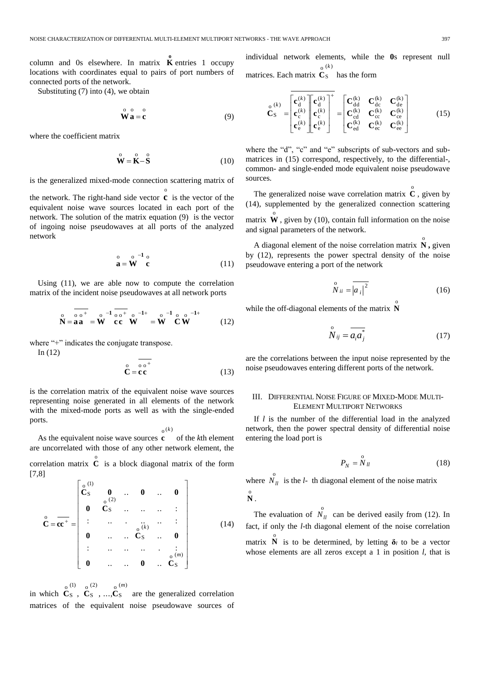column and 0s elsewhere. In matrix  $\overrightarrow{\textbf{K}}$  entries 1 occupy locations with coordinates equal to pairs of port numbers of connected ports of the network.

Substituting (7) into (4), we obtain

$$
\mathbf{\stackrel{\circ}{W}}\stackrel{\circ}{\mathbf{a}} = \stackrel{\circ}{\mathbf{c}} \tag{9}
$$

where the coefficient matrix

$$
\overset{\circ}{\mathbf{W}} = \overset{\circ}{\mathbf{K}} - \overset{\circ}{\mathbf{S}} \tag{10}
$$

is the generalized mixed-mode connection scattering matrix of

the network. The right-hand side vector **c** is the vector of the o equivalent noise wave sources located in each port of the network. The solution of the matrix equation (9) is the vector of ingoing noise pseudowaves at all ports of the analyzed network

$$
\stackrel{\circ}{\mathbf{a}} = \stackrel{\circ}{\mathbf{W}}^{-1} \stackrel{\circ}{\mathbf{c}} \tag{11}
$$

Using (11), we are able now to compute the correlation matrix of the incident noise pseudowaves at all network ports

$$
\mathbf{N} = \mathbf{aa} \mathbf{aa}^{-1} - \mathbf{W} \mathbf{cc}^{-1} \mathbf{C} \mathbf{C}^{-1} \mathbf{W}^{-1} = \mathbf{W}^{-1} \mathbf{C} \mathbf{W}^{-1}
$$
 (12)

where "+" indicates the conjugate transpose.

In (12)

$$
\stackrel{\circ}{\mathbf{C}} = \stackrel{\stackrel{\circ}{\circ} \stackrel{\circ}{\circ}^+}{\mathbf{C}} = \mathbf{c}\stackrel{\circ}{\mathbf{C}} \tag{13}
$$

is the correlation matrix of the equivalent noise wave sources representing noise generated in all elements of the network with the mixed-mode ports as well as with the single-ended ports.

$$
_{0}\left( k\right)
$$

As the equivalent noise wave sources **c** of the *k*th element are uncorrelated with those of any other network element, the correlation matrix  $\overrightarrow{C}$  is a block diagonal matrix of the form [7,8]

$$
\mathbf{C} = \overline{\mathbf{c}\mathbf{c}}^{+} = \begin{bmatrix} \mathbf{c}_{S}^{(1)} & \mathbf{0} & \cdots & \mathbf{0} & \cdots & \mathbf{0} \\ \mathbf{0} & \mathbf{c}_{S}^{(2)} & \cdots & \mathbf{0} & \cdots & \mathbf{0} \\ \vdots & \vdots & \ddots & \ddots & \vdots & \vdots \\ \mathbf{0} & \cdots & \mathbf{c}_{S}^{(k)} & \cdots & \mathbf{0} & \mathbf{0} \\ \vdots & \vdots & \ddots & \vdots & \ddots & \vdots \\ \mathbf{0} & \cdots & \cdots & \mathbf{0} & \cdots & \mathbf{c}_{S}^{(m)} \end{bmatrix}
$$
(14)

in which  $C_s$ ,  $C_s$ , ...,  $C_s$  are the generalized correlation  $_0$  (1)  $_0$  (2)  $_0$  (*m*) matrices of the equivalent noise pseudowave sources of

individual network elements, while the **0**s represent null matrices. Each matrix  $(k)$ S o *k* **C** has the form

$$
\mathbf{C}_{S}^{(k)} = \begin{bmatrix} \mathbf{c}_{d}^{(k)} \\ \mathbf{c}_{c}^{(k)} \\ \mathbf{c}_{e}^{(k)} \end{bmatrix} \begin{bmatrix} \mathbf{c}_{d}^{(k)} \\ \mathbf{c}_{c}^{(k)} \\ \mathbf{c}_{e}^{(k)} \end{bmatrix}^{+} = \begin{bmatrix} \mathbf{C}_{dd}^{(k)} & \mathbf{C}_{dc}^{(k)} & \mathbf{C}_{de}^{(k)} \\ \mathbf{C}_{cd}^{(k)} & \mathbf{C}_{cc}^{(k)} & \mathbf{C}_{ce}^{(k)} \\ \mathbf{C}_{ed}^{(k)} & \mathbf{C}_{ec}^{(k)} & \mathbf{C}_{ee}^{(k)} \end{bmatrix}
$$
(15)

where the "d", "c" and "e" subscripts of sub-vectors and submatrices in (15) correspond, respectively, to the differential-, common- and single-ended mode equivalent noise pseudowave sources.

The generalized noise wave correlation matrix  $\hat{C}$ , given by (14), supplemented by the generalized connection scattering matrix  $\mathbf{\hat{W}}$ , given by (10), contain full information on the noise and signal parameters of the network.

A diagonal element of the noise correlation matrix  $\overset{\circ}{N}$ , given by (12), represents the power spectral density of the noise pseudowave entering a port of the network

$$
\overset{\circ}{N}_{ii} = \overset{\circ}{|a_i|^2} \tag{16}
$$

while the off-diagonal elements of the matrix  $\mathbf{\hat{N}}$ 

$$
\overset{\circ}{N}_{ij} = \overline{a_i a_j^*} \tag{17}
$$

are the correlations between the input noise represented by the noise pseudowaves entering different ports of the network.

#### III. DIFFERENTIAL NOISE FIGURE OF MIXED-MODE MULTI-ELEMENT MULTIPORT NETWORKS

If *l* is the number of the differential load in the analyzed network, then the power spectral density of differential noise entering the load port is

$$
P_N = \stackrel{\scriptstyle o}{N} u \tag{18}
$$

where  $\overrightarrow{N}_{ll}$  is the *l*- th diagonal element of the noise matrix o **N** .

The evaluation of  $\overrightarrow{N}_u$  can be derived easily from (12). In fact, if only the *l*-th diagonal element of the noise correlation matrix  $\overrightarrow{\bf{N}}$  is to be determined, by letting  $\delta_l$  to be a vector whose elements are all zeros except a 1 in position *l,* that is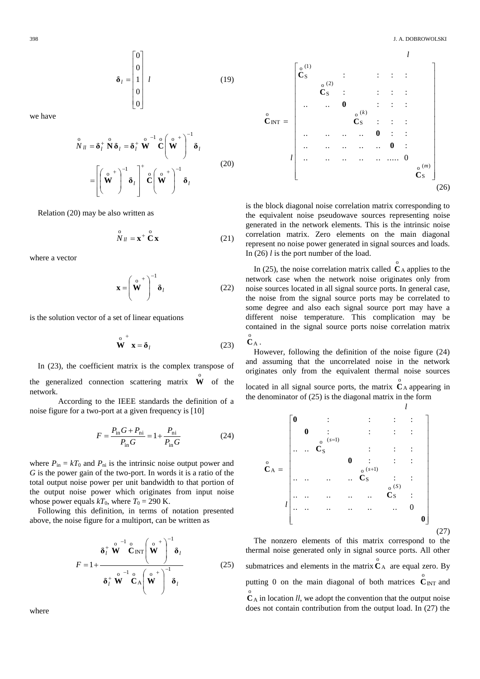$$
\mathbf{\delta}_l = \begin{bmatrix} 0 \\ 0 \\ 1 \\ 0 \\ 0 \end{bmatrix} l \tag{19}
$$

we have

$$
\hat{N}_{ll} = \delta_l^+ \overset{\circ}{N} \delta_l = \delta_l^+ \overset{\circ}{W}^{-1} \overset{\circ}{C} \left( \overset{\circ}{W}^+ \right)^{-1} \delta_l
$$
\n
$$
= \left[ \left( \overset{\circ}{W}^+ \right)^{-1} \delta_l \right]^+ \overset{\circ}{C} \left( \overset{\circ}{W}^+ \right)^{-1} \delta_l
$$
\n(20)

Relation (20) may be also written as

$$
\stackrel{\text{o}}{N} u = \mathbf{x}^+ \stackrel{\text{o}}{C} \mathbf{x} \tag{21}
$$

where a vector

$$
\mathbf{x} = \left(\mathbf{W}^{\circ}\right)^{-1} \mathbf{\delta}_l \tag{22}
$$

is the solution vector of a set of linear equations

$$
\stackrel{\circ}{\mathbf{W}}^+ \mathbf{x} = \delta_l \tag{23}
$$

In (23), the coefficient matrix is the complex transpose of the generalized connection scattering matrix  $\mathbf{\hat{W}}$  of the network.

According to the IEEE standards the definition of a noise figure for a two-port at a given frequency is [10]

$$
F = \frac{P_{\text{in}}G + P_{\text{ni}}}{P_{\text{in}}G} = 1 + \frac{P_{\text{ni}}}{P_{\text{in}}G}
$$
(24)

where  $P_{\text{in}} = kT_0$  and  $P_{\text{ni}}$  is the intrinsic noise output power and *G* is the power gain of the two-port. In words it is a ratio of the total output noise power per unit bandwidth to that portion of the output noise power which originates from input noise whose power equals  $kT_0$ , where  $T_0 = 290$  K.

Following this definition, in terms of notation presented above, the noise figure for a multiport, can be written as

$$
F = 1 + \frac{\delta_l^+ \stackrel{\circ}{\mathbf{W}}^{-1} \stackrel{\circ}{\mathbf{C}}_{\text{INT}} \left(\stackrel{\circ}{\mathbf{W}}^+\right)^{-1} \delta_l}{\delta_l^+ \stackrel{\circ}{\mathbf{W}}^{-1} \stackrel{\circ}{\mathbf{C}}_{\text{A}} \left(\stackrel{\circ}{\mathbf{W}}^+\right)^{-1} \delta_l}
$$
(25)



is the block diagonal noise correlation matrix corresponding to the equivalent noise pseudowave sources representing noise generated in the network elements. This is the intrinsic noise correlation matrix. Zero elements on the main diagonal represent no noise power generated in signal sources and loads. In (26) *l* is the port number of the load.

In (25), the noise correlation matrix called  $C_A$  $\overset{\circ}{\mathbf{C}}$  A applies to the network case when the network noise originates only from noise sources located in all signal source ports. In general case, the noise from the signal source ports may be correlated to some degree and also each signal source port may have a different noise temperature. This complication may be contained in the signal source ports noise correlation matrix A  $C_A^o$  .

However, following the definition of the noise figure (24) and assuming that the uncorrelated noise in the network originates only from the equivalent thermal noise sources located in all signal source ports, the matrix  $C_A$  $\overset{\circ}{\mathbf{C}}$  appearing in the denominator of (25) is the diagonal matrix in the form

*l*



The nonzero elements of this matrix correspond to the thermal noise generated only in signal source ports. All other submatrices and elements in the matrix  $C_A$  $\overset{\circ}{\mathbf{C}}$  are equal zero. By putting 0 on the main diagonal of both matrices  $C_{\text{INT}}$  $\overset{\circ}{\mathbf{C}}_{\text{INT}}$  and A  $\hat{\mathbf{C}}_{\text{A}}$  in location *ll*, we adopt the convention that the output noise does not contain contribution from the output load. In (27) the

where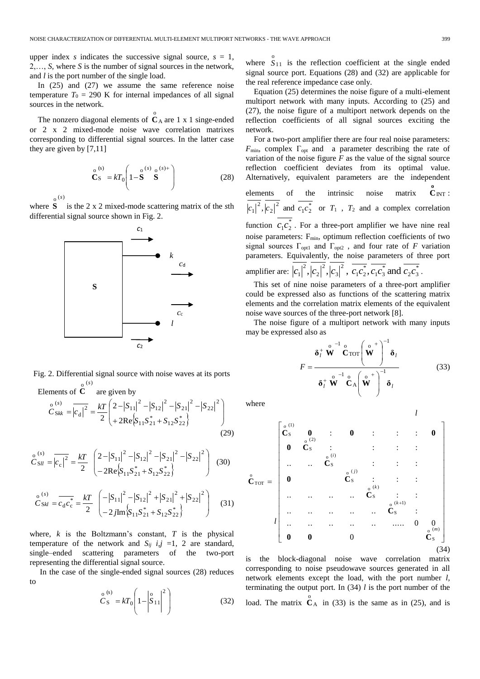upper index *s* indicates the successive signal source,  $s = 1$ , 2,…, *S,* where *S* is the number of signal sources in the network, and *l* is the port number of the single load.

In (25) and (27) we assume the same reference noise temperature  $T_0 = 290$  K for internal impedances of all signal sources in the network.

The nonzero diagonal elements of  $C_A$  $\overset{\circ}{\mathbf{C}}$  are 1 x 1 singe-ended or 2 x 2 mixed-mode noise wave correlation matrixes corresponding to differential signal sources. In the latter case they are given by [7,11]

$$
\mathbf{C}_{\mathbf{S}}^{o (s)} = kT_0 \left( 1 - \mathbf{S}^{o (s)} \mathbf{S}^{o (s) +} \right)
$$
 (28)

 $\mathfrak{o}^{(s)}$ 

where **S** is the 2 x 2 mixed-mode scattering matrix of the *s*th differential signal source shown in Fig. 2.



Fig. 2. Differential signal source with noise waves at its ports ( ) o *s*

Elements of **C** are given by  $\left\{S_{11}S_{21}^* + S_{12}S_{22}^*\right\}$  )  $\overline{\phantom{a}}$ )  $\backslash$ I L l ſ  $+2Re\{S_{11}S_{21}^* +$ = $|\overline{c_d}|^2$  =  $\frac{kT}{2} \begin{pmatrix} 2 - |S_{11}|^2 - |S_{12}|^2 - |S_{21}|^2 - 2R \sqrt{S_{11}S_{21}^* + S_{12}S_{22}^*} \end{pmatrix}$  $\frac{1}{a}\Big|^{2} = \frac{kT}{2}\Big|^{2} - |S_{11}|^{2} - |S_{12}|^{2} - |S_{21}|^{2} - |S_{22}|^{2}$  $\left( s\right)$ S o 2Re 2  $2 \left\{ +2Re\left\{ S_{11}S_{21}^* + S_{12}S_{22}^* \right\} \right\}$  $\int_{C}^{0^{(S)}} \frac{1}{S_{kk}} = \frac{|c_1|^2}{|c_1|^2} = \frac{kT}{2} \left( \frac{2-|S_{11}|^2-|S_{12}|^2-|S_{21}|^2-|S_{21}|^2}{2} \right)$ *s kk* (29)

$$
\stackrel{\circ}{C}_{\text{SII}}^{(s)} = \overline{|c_c|^2} = \frac{kT}{2} \left( \frac{2 - |S_{11}|^2 - |S_{12}|^2 - |S_{21}|^2 - |S_{22}|^2}{-2\text{Re}\{S_{11}S_{21}^* + S_{12}S_{22}^*\}} \right) \tag{30}
$$

$$
\stackrel{\circ}{C}_{\text{SM}}^{(s)} = \overline{c_d c_c^*} = \frac{kT}{2} \begin{pmatrix} -|S_{11}|^2 - |S_{12}|^2 + |S_{21}|^2 + |S_{22}|^2\\ -2j \text{Im} \left\{ S_{11} S_{21}^* + S_{12} S_{22}^* \right\} \end{pmatrix} \tag{31}
$$

where,  $k$  is the Boltzmann's constant,  $T$  is the physical temperature of the network and  $S_{ij}$  *i,j* =1, 2 are standard, single–ended scattering parameters of the two-port representing the differential signal source.

In the case of the single-ended signal sources (28) reduces to

$$
\stackrel{\text{o}}{C}_{S}^{(s)} = kT_0 \left(1 - \left|\stackrel{\text{o}}{S}_{11}\right|^2\right) \tag{32}
$$

where  $S_{11}$  $S_{11}$  is the reflection coefficient at the single ended signal source port. Equations (28) and (32) are applicable for the real reference impedance case only.

Equation (25) determines the noise figure of a multi-element multiport network with many inputs. According to (25) and (27), the noise figure of a multiport network depends on the reflection coefficients of all signal sources exciting the network.

For a two-port amplifier there are four real noise parameters: *F*<sub>min</sub>, complex Γ<sub>opt</sub> and a parameter describing the rate of variation of the noise figure  $F$  as the value of the signal source reflection coefficient deviates from its optimal value. Alternatively, equivalent parameters are the independent elements of the intrinsic noise matrix INT  $\overset{o}{C}$   $_{\text{INT}}$  :  $r_1^*c_2^*$ 2 2 2  $|c_1|^2$ ,  $|c_2|^2$  and  $c_1c_2^2$  or  $T_1$ ,  $T_2$  and a complex correlation function  $c_1 c_2^*$  $c_1 c_2^*$ . For a three-port amplifier we have nine real noise parameters: F<sub>min</sub>, optimum reflection coefficients of two signal sources  $\Gamma_{opt1}$  and  $\Gamma_{opt2}$ , and four rate of *F* variation parameters. Equivalently, the noise parameters of three port amplifier are:  $|c_1|^2$ ,  $|c_2|^2$ ,  $|c_3|^2$ ,  $c_1c_2^*$ ,  $c_1c_3^*$  and  $c_2c_3^*$  $2^{\mathbf{c}}3$ \*  $1^{\mathsf{c}}3$ \*  $1^{\mathsf{c}}2$ 2 3 2 2 2  $c_1|^2$ ,  $|c_2|^2$ ,  $|c_3|^2$ ,  $c_1c_2^*$ ,  $c_1c_3^*$  and  $c_2c_3^*$ .

This set of nine noise parameters of a three-port amplifier could be expressed also as functions of the scattering matrix elements and the correlation matrix elements of the equivalent noise wave sources of the three-port network [8].

The noise figure of a multiport network with many inputs may be expressed also as

$$
F = \frac{\delta_l^+ \stackrel{\circ}{\mathbf{W}}^{-1} \stackrel{\circ}{\mathbf{C}}_{\text{TOT}} \left(\stackrel{\circ}{\mathbf{W}}^+\right)^{-1} \delta_l}{\delta_l^+ \stackrel{\circ}{\mathbf{W}}^{-1} \stackrel{\circ}{\mathbf{C}}_{\mathbf{A}} \left(\stackrel{\circ}{\mathbf{W}}^+\right)^{-1} \delta_l}
$$
(33)

*l*

where

$$
\mathring{C}_{TOT} = \begin{bmatrix}\n\mathring{c}_{S}^{(1)} & 0 & \vdots & 0 & \vdots & \vdots & \vdots & 0 \\
0 & \mathring{C}_{S}^{(2)} & \vdots & \vdots & \vdots & \vdots & \vdots \\
\vdots & \vdots & \vdots & \vdots & \vdots & \vdots & \vdots \\
0 & \mathring{C}_{S}^{(j)} & \vdots & \vdots & \vdots & \vdots \\
0 & \mathring{C}_{S}^{(j)} & \vdots & \vdots & \vdots & \vdots \\
\vdots & \vdots & \vdots & \vdots & \vdots & \vdots & \vdots \\
0 & 0 & 0 & 0 & \mathring{C}_{S}^{(m)}\n\end{bmatrix}
$$
\n
$$
\mathring{l} \begin{bmatrix}\n\mathring{c}_{S}^{(1)} & 0 & \vdots & \vdots & \vdots & \vdots \\
\mathring{c}_{S}^{(k+1)} & \vdots & \vdots & \vdots & \vdots \\
\mathring{c}_{S}^{(k+1)} & \vdots & \vdots & \vdots & \vdots \\
\mathring{c}_{S}^{(m)} & \mathring{c}_{S}^{(m)}\n\end{bmatrix}
$$
\n
$$
\mathring{l} \begin{bmatrix}\n\mathring{c}_{S}^{(1)} & 0 & \vdots & \vdots & \vdots \\
\mathring{c}_{S}^{(m)} & \mathring{c}_{S}^{(m)}\n\end{bmatrix}
$$
\n
$$
\mathring{l} \begin{bmatrix}\n\mathring{c}_{S}^{(2)} & \mathring{c}_{S}^{(2)} & \mathring{c}_{S}^{(2)} & \mathring{c}_{S}^{(2)} \\
\mathring{c}_{S}^{(m)} & \mathring{c}_{S}^{(m)}\n\end{bmatrix}
$$
\n
$$
\mathring{l} \begin{bmatrix}\n\mathring{c}_{S}^{(1)} & \mathring{c}_{S}^{(2)} & \mathring{c}_{S}^{(2)} & \mathring{c}_{S}^{(2)} \\
\mathring{c}_{S}^{(m)} & \mathring{c}_{S}^{(m)} & \mathring{c}_{S}^{(m)}\n\end{bmatrix}
$$
\n
$$
\mathring{l} \begin{bmatrix}\n\mathring{c}_{S}^{(1)} & \mathring{c}_{S}^{(2)} & \mathring{c}_{S}^{(2)} & \mathring{c}_{S}^{(2)}
$$

is the block-diagonal noise wave correlation matrix corresponding to noise pseudowave sources generated in all network elements except the load, with the port number *l,* terminating the output port. In (34) *l* is the port number of the load. The matrix  $C_A$  $\mathbf{C}_{\text{A}}$  in (33) is the same as in (25), and is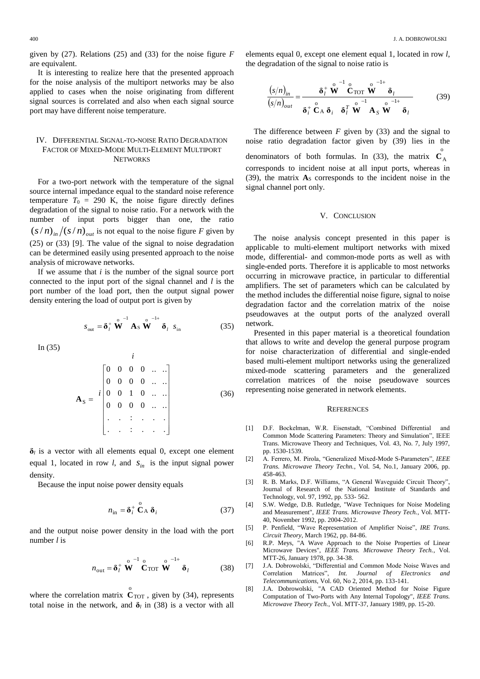given by (27). Relations (25) and (33) for the noise figure *F* are equivalent.

It is interesting to realize here that the presented approach for the noise analysis of the multiport networks may be also applied to cases when the noise originating from different signal sources is correlated and also when each signal source port may have different noise temperature.

## IV. DIFFERENTIAL SIGNAL-TO-NOISE RATIO DEGRADATION FACTOR OF MIXED-MODE MULTI-ELEMENT MULTIPORT **NETWORKS**

For a two-port network with the temperature of the signal source internal impedance equal to the standard noise reference temperature  $T_0 = 290$  K, the noise figure directly defines degradation of the signal to noise ratio. For a network with the number of input ports bigger than one, the ratio  $(s/n)$ <sub>in</sub>  $/(s/n)$ <sub>out</sub> is not equal to the noise figure *F* given by (25) or (33) [9]. The value of the signal to noise degradation can be determined easily using presented approach to the noise analysis of microwave networks.

If we assume that *i* is the number of the signal source port connected to the input port of the signal channel and *l* is the port number of the load port, then the output signal power density entering the load of output port is given by

$$
s_{\text{out}} = \delta_l^+ \stackrel{\circ}{\mathbf{W}}^{-1} \mathbf{A}_S \stackrel{\circ}{\mathbf{W}}^{-1+} \delta_l \ s_{\text{in}} \tag{35}
$$

In (35)

 . . : . . . . . : . . . 0 0 0 0 .. .. 0 0 1 0 .. .. 0 0 0 0 .. .. 0 0 0 0 .. .. S *i i* **A** (36)

 $\delta_l$  is a vector with all elements equal 0, except one element equal 1, located in row *l*, and  $s_{in}$  is the input signal power density.

Because the input noise power density equals

$$
n_{\rm in} = \delta_i^+ \stackrel{\rm o}{\mathbf{C}}_{\rm A} \delta_i \tag{37}
$$

and the output noise power density in the load with the port number *l* is

$$
n_{\text{out}} = \delta_l^+ \stackrel{\text{o}}{\mathbf{W}}^{-1} \stackrel{\text{o}}{\mathbf{C}}_{\text{TOT}} \stackrel{\text{o}}{\mathbf{W}}^{-1+} \delta_l \tag{38}
$$

where the correlation matrix  $C_{\text{TOT}}$  $\overset{\circ}{\mathbf{C}}_{\text{TOT}}$ , given by (34), represents total noise in the network, and  $\delta$ <sup>*l*</sup> in (38) is a vector with all

elements equal 0, except one element equal 1, located in row *l*, the degradation of the signal to noise ratio is

$$
\frac{(s/n)_{in}}{(s/n)_{out}} = \frac{\delta_l^+ \stackrel{\circ}{\mathbf{W}}^{-1} \stackrel{\circ}{\mathbf{C}}_{\text{TOT}} \stackrel{\circ}{\mathbf{W}}^{-1+} \delta_l}{\delta_l^+ \stackrel{\circ}{\mathbf{C}}_A \delta_i \stackrel{\circ}{\mathbf{S}}_l^{-1} \stackrel{\circ}{\mathbf{W}}^{-1} \mathbf{A}_S \stackrel{\circ}{\mathbf{W}}^{-1+} \delta_l}
$$
(39)

The difference between  $F$  given by  $(33)$  and the signal to noise ratio degradation factor given by (39) lies in the denominators of both formulas. In (33), the matrix  $\overrightarrow{C}_A$ corresponds to incident noise at all input ports, whereas in (39), the matrix  $A<sub>S</sub>$  corresponds to the incident noise in the signal channel port only.

#### V. CONCLUSION

The noise analysis concept presented in this paper is applicable to multi-element multiport networks with mixed mode, differential- and common-mode ports as well as with single-ended ports. Therefore it is applicable to most networks occurring in microwave practice, in particular to differential amplifiers. The set of parameters which can be calculated by the method includes the differential noise figure, signal to noise degradation factor and the correlation matrix of the noise pseudowaves at the output ports of the analyzed overall network.

Presented in this paper material is a theoretical foundation that allows to write and develop the general purpose program for noise characterization of differential and single-ended based multi-element multiport networks using the generalized mixed-mode scattering parameters and the generalized correlation matrices of the noise pseudowave sources representing noise generated in network elements.

#### **REFERENCES**

- [1] D.F. Bockelman, W.R. Eisenstadt, "Combined Differential and Common Mode Scattering Parameters: Theory and Simulation", IEEE Trans. Microwave Theory and Techniques, Vol. 43, No. 7, July 1997, pp. 1530-1539.
- [2] A. Ferrero, M. Pirola, "Generalized Mixed-Mode S-Parameters", *IEEE Trans. Microwave Theory Techn.*, Vol. 54, No.1, January 2006, pp. 458-463.
- [3] R. B. Marks, D.F. Williams, "A General Waveguide Circuit Theory", Journal of Research of the National Institute of Standards and Technology, vol. 97, 1992, pp. 533- 562.
- [4] S.W. Wedge, D.B. Rutledge, "Wave Techniques for Noise Modeling and Measurement", *IEEE Trans. Microwave Theory Tech.*, Vol. MTT-40, November 1992, pp. 2004-2012.
- [5] P. Penfield, "Wave Representation of Amplifier Noise", *IRE Trans. Circuit Theory*, March 1962, pp. 84-86.
- [6] R.P. Meys, "A Wave Approach to the Noise Properties of Linear Microwave Devices", *IEEE Trans. Microwave Theory Tech.*, Vol. MTT-26, January 1978, pp. 34-38.
- [7] J.A. Dobrowolski, "Differential and Common Mode Noise Waves and Correlation Matrices", *Int. Journal of Electronics and Telecommunications,* Vol. 60, No 2, 2014, pp. 133-141.
- [8] J.A. Dobrowolski, "A CAD Oriented Method for Noise Figure Computation of Two-Ports with Any Internal Topology", *IEEE Trans. Microwave Theory Tech.*, Vol. MTT-37, January 1989, pp. 15-20.